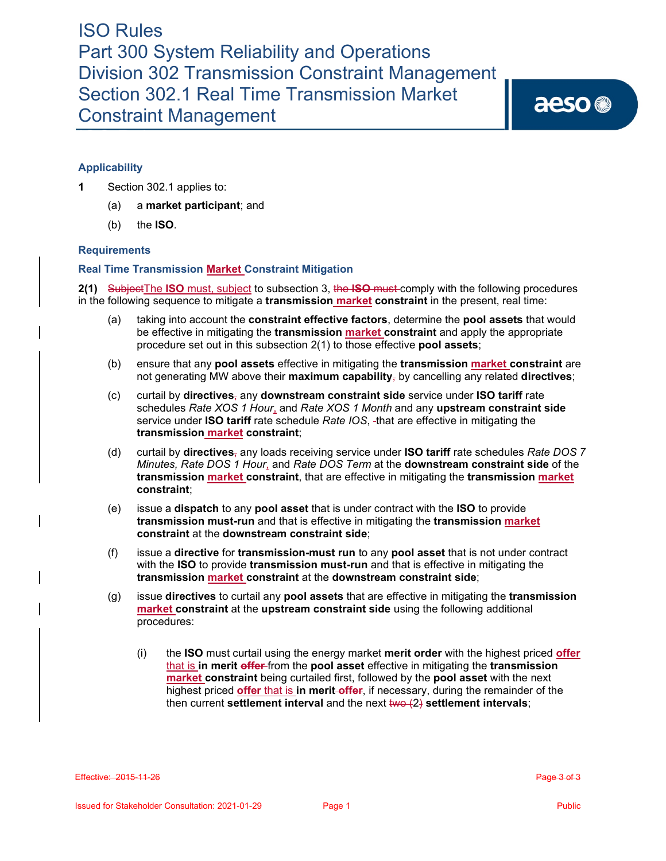aeso<sup>®</sup>

# **Applicability**

- **1** Section 302.1 applies to:
	- (a) a **market participant**; and
	- (b) the **ISO**.

## **Requirements**

## **Real Time Transmission Market Constraint Mitigation**

**2(1)** SubjectThe **ISO** must, subject to subsection 3, the **ISO** must comply with the following procedures in the following sequence to mitigate a **transmission market constraint** in the present, real time:

- (a) taking into account the **constraint effective factors**, determine the **pool assets** that would be effective in mitigating the **transmission market constraint** and apply the appropriate procedure set out in this subsection 2(1) to those effective **pool assets**;
- (b) ensure that any **pool assets** effective in mitigating the **transmission market constraint** are not generating MW above their **maximum capability**, by cancelling any related **directives**;
- (c) curtail by **directives**, any **downstream constraint side** service under **ISO tariff** rate schedules *Rate XOS 1 Hour*, and *Rate XOS 1 Month* and any **upstream constraint side** service under **ISO tariff** rate schedule *Rate IOS*, that are effective in mitigating the **transmission market constraint**;
- (d) curtail by **directives**, any loads receiving service under **ISO tariff** rate schedules *Rate DOS 7 Minutes, Rate DOS 1 Hour*, and *Rate DOS Term* at the **downstream constraint side** of the **transmission market constraint**, that are effective in mitigating the **transmission market constraint**;
- (e) issue a **dispatch** to any **pool asset** that is under contract with the **ISO** to provide **transmission must-run** and that is effective in mitigating the **transmission market constraint** at the **downstream constraint side**;
- (f) issue a **directive** for **transmission-must run** to any **pool asset** that is not under contract with the **ISO** to provide **transmission must-run** and that is effective in mitigating the **transmission market constraint** at the **downstream constraint side**;
- (g) issue **directives** to curtail any **pool assets** that are effective in mitigating the **transmission market constraint** at the **upstream constraint side** using the following additional procedures:
	- (i) the **ISO** must curtail using the energy market **merit order** with the highest priced **offer** that is **in merit offer** from the **pool asset** effective in mitigating the **transmission market constraint** being curtailed first, followed by the **pool asset** with the next highest priced **offer** that is **in merit offer**, if necessary, during the remainder of the then current **settlement interval** and the next two (2) **settlement intervals**;

**Effective: 2015-11-26** Page 3 of 3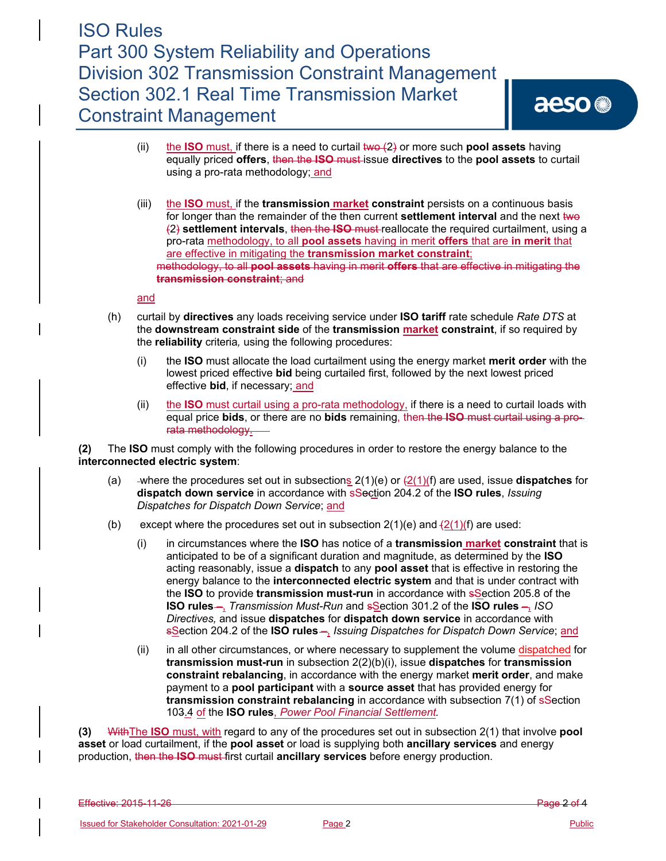- (ii) the **ISO** must, if there is a need to curtail two (2) or more such **pool assets** having equally priced **offers**, then the **ISO** must issue **directives** to the **pool assets** to curtail using a pro-rata methodology; and
- (iii) the **ISO** must, if the **transmission market constraint** persists on a continuous basis for longer than the remainder of the then current **settlement interval** and the next two (2) **settlement intervals**, then the **ISO** must reallocate the required curtailment, using a pro-rata methodology, to all **pool assets** having in merit **offers** that are **in merit** that are effective in mitigating the **transmission market constraint**; methodology, to all **pool assets** having in merit **offers** that are effective in mitigating the **transmission constraint**; and

and

- (h) curtail by **directives** any loads receiving service under **ISO tariff** rate schedule *Rate DTS* at the **downstream constraint side** of the **transmission market constraint**, if so required by the **reliability** criteria*,* using the following procedures:
	- (i) the **ISO** must allocate the load curtailment using the energy market **merit order** with the lowest priced effective **bid** being curtailed first, followed by the next lowest priced effective **bid**, if necessary; and
	- (ii) the **ISO** must curtail using a pro-rata methodology, if there is a need to curtail loads with equal price **bids**, or there are no **bids** remaining, then the **ISO** must curtail using a prorata methodology.

**(2)** The **ISO** must comply with the following procedures in order to restore the energy balance to the **interconnected electric system**:

- (a) -where the procedures set out in subsections  $2(1)(e)$  or  $\frac{2(1)}{f}$  are used, issue **dispatches** for **dispatch down service** in accordance with sSection 204.2 of the **ISO rules**, *Issuing Dispatches for Dispatch Down Service*; and
- (b) except where the procedures set out in subsection  $2(1)(e)$  and  $\frac{2(1)(f)}{f}$  are used:
	- (i) in circumstances where the **ISO** has notice of a **transmission market constraint** that is anticipated to be of a significant duration and magnitude, as determined by the **ISO** acting reasonably, issue a **dispatch** to any **pool asset** that is effective in restoring the energy balance to the **interconnected electric system** and that is under contract with the **ISO** to provide **transmission must-run** in accordance with sSection 205.8 of the **ISO rules** –, *Transmission Must-Run* and sSection 301.2 of the **ISO rules** –, *ISO Directives,* and issue **dispatches** for **dispatch down service** in accordance with sSection 204.2 of the **ISO rules** –, *Issuing Dispatches for Dispatch Down Service*; and
	- (ii) in all other circumstances, or where necessary to supplement the volume dispatched for **transmission must-run** in subsection 2(2)(b)(i), issue **dispatches** for **transmission constraint rebalancing**, in accordance with the energy market **merit order**, and make payment to a **pool participant** with a **source asset** that has provided energy for **transmission constraint rebalancing** in accordance with subsection 7(1) of sSection 103.4 of the **ISO rules**, *Power Pool Financial Settlement.*

**(3)** WithThe **ISO** must, with regard to any of the procedures set out in subsection 2(1) that involve **pool asset** or load curtailment, if the **pool asset** or load is supplying both **ancillary services** and energy production, then the **ISO** must first curtail **ancillary services** before energy production.

Effective: 2015-11-26 Page 2 of 4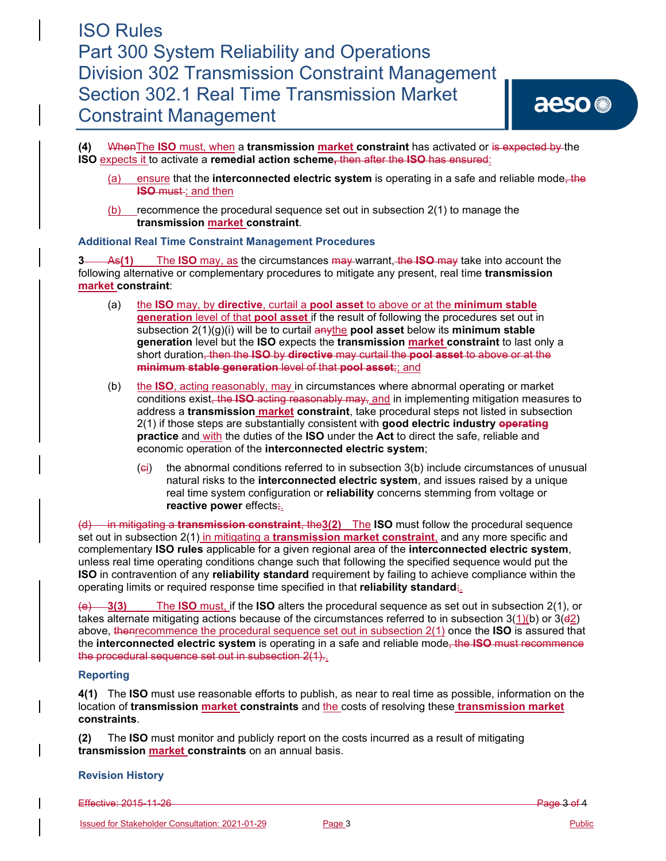**(4)** WhenThe **ISO** must, when a **transmission market constraint** has activated or is expected by the **ISO** expects it to activate a **remedial action scheme,** then after the **ISO** has ensured:

- (a) ensure that the **interconnected electric system** is operating in a safe and reliable mode, the **ISO** must-; and then
- (b) recommence the procedural sequence set out in subsection 2(1) to manage the **transmission market constraint**.

## **Additional Real Time Constraint Management Procedures**

**3** As**(1)** The **ISO** may, as the circumstances may warrant, the **ISO** may take into account the following alternative or complementary procedures to mitigate any present, real time **transmission market constraint**:

- (a) the **ISO** may, by **directive**, curtail a **pool asset** to above or at the **minimum stable generation** level of that **pool asset** if the result of following the procedures set out in subsection 2(1)(g)(i) will be to curtail anythe **pool asset** below its **minimum stable generation** level but the **ISO** expects the **transmission market constraint** to last only a short duration, then the **ISO** by **directive** may curtail the **pool asset** to above or at the **minimum stable generation** level of that **pool asset**;; and
- (b) the **ISO**, acting reasonably, may in circumstances where abnormal operating or market conditions exist, the **ISO** acting reasonably may, and in implementing mitigation measures to address a **transmission market constraint**, take procedural steps not listed in subsection 2(1) if those steps are substantially consistent with **good electric industry operating practice** and with the duties of the **ISO** under the **Act** to direct the safe, reliable and economic operation of the **interconnected electric system**;
	- (ci) the abnormal conditions referred to in subsection 3(b) include circumstances of unusual natural risks to the **interconnected electric system**, and issues raised by a unique real time system configuration or **reliability** concerns stemming from voltage or **reactive power** effects;.

(d) in mitigating a **transmission constraint**, the**3(2)** The **ISO** must follow the procedural sequence set out in subsection 2(1) in mitigating a **transmission market constraint**, and any more specific and complementary **ISO rules** applicable for a given regional area of the **interconnected electric system**, unless real time operating conditions change such that following the specified sequence would put the **ISO** in contravention of any **reliability standard** requirement by failing to achieve compliance within the operating limits or required response time specified in that **reliability standard**;.

(e) **3(3)** The **ISO** must, if the **ISO** alters the procedural sequence as set out in subsection 2(1), or takes alternate mitigating actions because of the circumstances referred to in subsection  $3(1)(b)$  or  $3(d2)$ above, thenrecommence the procedural sequence set out in subsection 2(1) once the **ISO** is assured that the **interconnected electric system** is operating in a safe and reliable mode, the **ISO** must recommence the procedural sequence set out in subsection 2(1)..

## **Reporting**

**4(1)** The **ISO** must use reasonable efforts to publish, as near to real time as possible, information on the location of **transmission market constraints** and the costs of resolving these **transmission market constraints**.

**(2)** The **ISO** must monitor and publicly report on the costs incurred as a result of mitigating **transmission market constraints** on an annual basis.

#### **Revision History**

Effective: 2015 11 26 **Page 3 of 4** Page 3 of 4